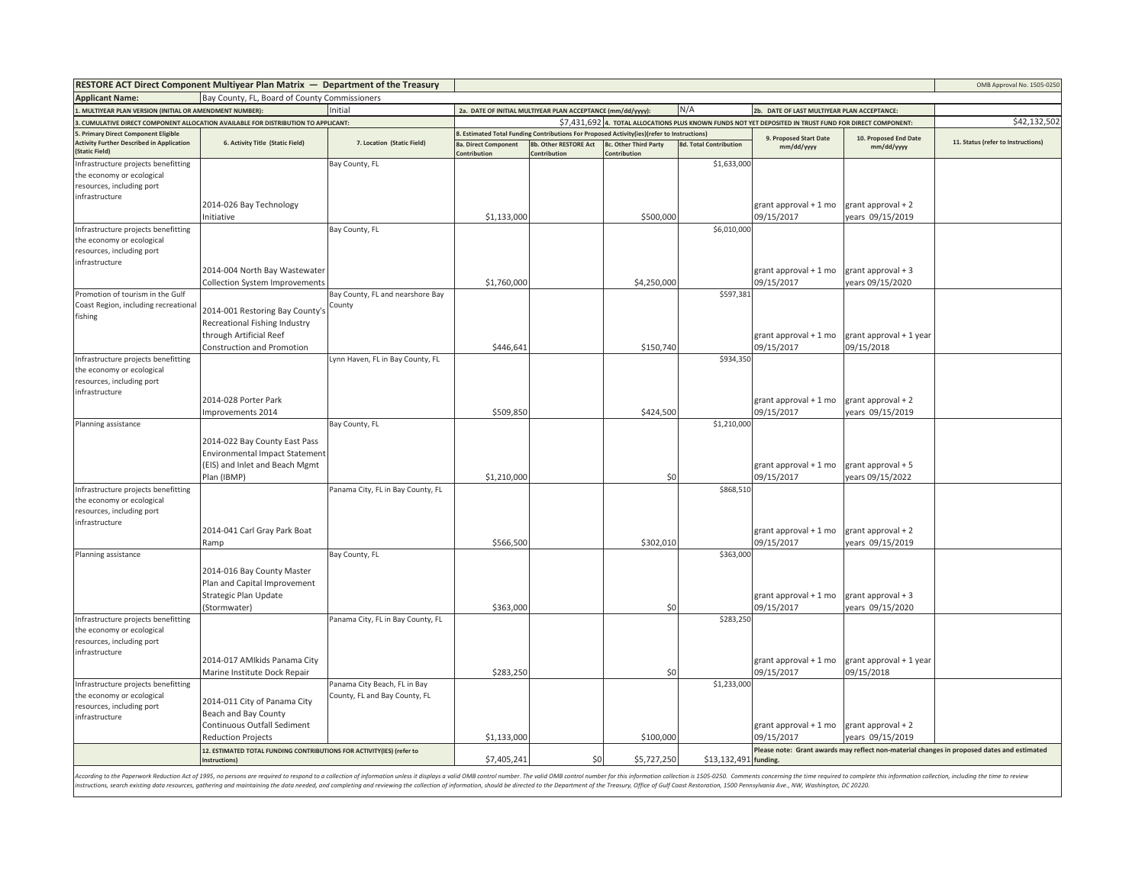|                                                                                 | RESTORE ACT Direct Component Multiyear Plan Matrix - Department of the Treasury        |                                   |                                                                                                         |                                                                                            |                                       |                               |                                             |                                       | OMB Approval No. 1505-0250                                                                 |
|---------------------------------------------------------------------------------|----------------------------------------------------------------------------------------|-----------------------------------|---------------------------------------------------------------------------------------------------------|--------------------------------------------------------------------------------------------|---------------------------------------|-------------------------------|---------------------------------------------|---------------------------------------|--------------------------------------------------------------------------------------------|
| <b>Applicant Name:</b>                                                          | Bay County, FL, Board of County Commissioners                                          |                                   |                                                                                                         |                                                                                            |                                       |                               |                                             |                                       |                                                                                            |
| MULTIYEAR PLAN VERSION (INITIAL OR AMENDMENT NUMBER):                           |                                                                                        | Initial                           |                                                                                                         | 2a. DATE OF INITIAL MULTIYEAR PLAN ACCEPTANCE (mm/dd/yyyy):                                |                                       | N/A                           | 2b. DATE OF LAST MULTIYEAR PLAN ACCEPTANCE: |                                       |                                                                                            |
| CUMULATIVE DIRECT COMPONENT ALLOCATION AVAILABLE FOR DISTRIBUTION TO APPLICANT: |                                                                                        |                                   | \$7,431,692 4. TOTAL ALLOCATIONS PLUS KNOWN FUNDS NOT YET DEPOSITED IN TRUST FUND FOR DIRECT COMPONENT: |                                                                                            |                                       |                               |                                             |                                       | \$42,132,502                                                                               |
| . Primary Direct Component Eligible                                             |                                                                                        |                                   |                                                                                                         | 3. Estimated Total Funding Contributions For Proposed Activity(ies)(refer to Instructions) |                                       |                               | 9. Proposed Start Date                      | 10. Proposed End Date                 |                                                                                            |
| <b>Activity Further Described in Application</b><br>(Static Field)              | 6. Activity Title (Static Field)                                                       | 7. Location (Static Field)        | <b>8a. Direct Component</b><br>Contribution                                                             | 8b. Other RESTORE Act<br>Contribution                                                      | 8c. Other Third Party<br>Contribution | <b>8d. Total Contribution</b> | mm/dd/yyyy                                  | mm/dd/yyyy                            | 11. Status (refer to Instructions)                                                         |
| Infrastructure projects benefitting<br>the economy or ecological                |                                                                                        | Bay County, FL                    |                                                                                                         |                                                                                            |                                       | \$1,633,000                   |                                             |                                       |                                                                                            |
| resources, including port                                                       |                                                                                        |                                   |                                                                                                         |                                                                                            |                                       |                               |                                             |                                       |                                                                                            |
| infrastructure                                                                  |                                                                                        |                                   |                                                                                                         |                                                                                            |                                       |                               |                                             |                                       |                                                                                            |
|                                                                                 | 2014-026 Bay Technology                                                                |                                   |                                                                                                         |                                                                                            |                                       |                               | grant approval + 1 mo                       | grant approval + 2                    |                                                                                            |
|                                                                                 | Initiative                                                                             |                                   | \$1,133,000                                                                                             |                                                                                            | \$500,000                             |                               | 09/15/2017                                  | ears 09/15/2019                       |                                                                                            |
| Infrastructure projects benefitting<br>the economy or ecological                |                                                                                        | Bay County, FL                    |                                                                                                         |                                                                                            |                                       | \$6,010,000                   |                                             |                                       |                                                                                            |
| resources, including port<br>infrastructure                                     |                                                                                        |                                   |                                                                                                         |                                                                                            |                                       |                               |                                             |                                       |                                                                                            |
|                                                                                 | 2014-004 North Bay Wastewater                                                          |                                   |                                                                                                         |                                                                                            |                                       |                               | grant approval + 1 mo                       | grant approval + 3                    |                                                                                            |
|                                                                                 | Collection System Improvements                                                         |                                   | \$1,760,000                                                                                             |                                                                                            | \$4,250,000                           |                               | 09/15/2017                                  | vears 09/15/2020                      |                                                                                            |
| Promotion of tourism in the Gulf                                                |                                                                                        | Bay County, FL and nearshore Bay  |                                                                                                         |                                                                                            |                                       | \$597,381                     |                                             |                                       |                                                                                            |
| Coast Region, including recreational                                            | 2014-001 Restoring Bay County's                                                        | County                            |                                                                                                         |                                                                                            |                                       |                               |                                             |                                       |                                                                                            |
| fishing                                                                         | Recreational Fishing Industry                                                          |                                   |                                                                                                         |                                                                                            |                                       |                               |                                             |                                       |                                                                                            |
|                                                                                 | through Artificial Reef                                                                |                                   |                                                                                                         |                                                                                            |                                       |                               | grant approval + 1 mo                       | grant approval + 1 year               |                                                                                            |
|                                                                                 | Construction and Promotion                                                             |                                   | \$446,641                                                                                               |                                                                                            | \$150,740                             |                               | 09/15/2017                                  | 09/15/2018                            |                                                                                            |
| Infrastructure projects benefitting                                             |                                                                                        | Lynn Haven, FL in Bay County, FL  |                                                                                                         |                                                                                            |                                       | \$934,350                     |                                             |                                       |                                                                                            |
| the economy or ecological                                                       |                                                                                        |                                   |                                                                                                         |                                                                                            |                                       |                               |                                             |                                       |                                                                                            |
| resources, including port                                                       |                                                                                        |                                   |                                                                                                         |                                                                                            |                                       |                               |                                             |                                       |                                                                                            |
| infrastructure                                                                  |                                                                                        |                                   |                                                                                                         |                                                                                            |                                       |                               |                                             |                                       |                                                                                            |
|                                                                                 | 2014-028 Porter Park                                                                   |                                   | \$509,850                                                                                               |                                                                                            | \$424,500                             |                               | grant approval + 1 mo<br>09/15/2017         | grant approval + 2<br>ears 09/15/2019 |                                                                                            |
| Planning assistance                                                             | Improvements 2014                                                                      | Bay County, FL                    |                                                                                                         |                                                                                            |                                       | \$1,210,000                   |                                             |                                       |                                                                                            |
|                                                                                 |                                                                                        |                                   |                                                                                                         |                                                                                            |                                       |                               |                                             |                                       |                                                                                            |
|                                                                                 | 2014-022 Bay County East Pass                                                          |                                   |                                                                                                         |                                                                                            |                                       |                               |                                             |                                       |                                                                                            |
|                                                                                 | <b>Environmental Impact Statement</b>                                                  |                                   |                                                                                                         |                                                                                            |                                       |                               |                                             |                                       |                                                                                            |
|                                                                                 | (EIS) and Inlet and Beach Mgmt                                                         |                                   |                                                                                                         |                                                                                            |                                       |                               | grant approval + 1 mo                       | grant approval + 5                    |                                                                                            |
|                                                                                 | Plan (IBMP)                                                                            |                                   | \$1,210,000                                                                                             |                                                                                            | \$0                                   |                               | 09/15/2017                                  | years 09/15/2022                      |                                                                                            |
| Infrastructure projects benefitting                                             |                                                                                        | Panama City, FL in Bay County, FL |                                                                                                         |                                                                                            |                                       | \$868,51                      |                                             |                                       |                                                                                            |
| the economy or ecological<br>resources, including port                          |                                                                                        |                                   |                                                                                                         |                                                                                            |                                       |                               |                                             |                                       |                                                                                            |
| infrastructure                                                                  |                                                                                        |                                   |                                                                                                         |                                                                                            |                                       |                               |                                             |                                       |                                                                                            |
|                                                                                 | 2014-041 Carl Gray Park Boat                                                           |                                   |                                                                                                         |                                                                                            |                                       |                               | grant approval + 1 mo                       | grant approval + 2                    |                                                                                            |
|                                                                                 | Ramp                                                                                   |                                   | \$566,500                                                                                               |                                                                                            | \$302,010                             |                               | 09/15/2017                                  | years 09/15/2019                      |                                                                                            |
| Planning assistance                                                             |                                                                                        | Bay County, FL                    |                                                                                                         |                                                                                            |                                       | \$363,000                     |                                             |                                       |                                                                                            |
|                                                                                 | 2014-016 Bay County Master                                                             |                                   |                                                                                                         |                                                                                            |                                       |                               |                                             |                                       |                                                                                            |
|                                                                                 | Plan and Capital Improvement                                                           |                                   |                                                                                                         |                                                                                            |                                       |                               |                                             |                                       |                                                                                            |
|                                                                                 | Strategic Plan Update                                                                  |                                   |                                                                                                         |                                                                                            |                                       |                               | grant approval + 1 mo                       | grant approval + 3                    |                                                                                            |
|                                                                                 | (Stormwater)                                                                           |                                   | \$363,000                                                                                               |                                                                                            | \$0                                   |                               | 09/15/2017                                  | years 09/15/2020                      |                                                                                            |
| Infrastructure projects benefitting                                             |                                                                                        | Panama City, FL in Bay County, FL |                                                                                                         |                                                                                            |                                       | \$283,250                     |                                             |                                       |                                                                                            |
| the economy or ecological                                                       |                                                                                        |                                   |                                                                                                         |                                                                                            |                                       |                               |                                             |                                       |                                                                                            |
| resources, including port                                                       |                                                                                        |                                   |                                                                                                         |                                                                                            |                                       |                               |                                             |                                       |                                                                                            |
| infrastructure                                                                  | 2014-017 AMIkids Panama City                                                           |                                   |                                                                                                         |                                                                                            |                                       |                               | grant approval + 1 mo                       | grant approval + 1 year               |                                                                                            |
|                                                                                 | Marine Institute Dock Repair                                                           |                                   | \$283,250                                                                                               |                                                                                            | \$0                                   |                               | 09/15/2017                                  | 09/15/2018                            |                                                                                            |
| Infrastructure projects benefitting                                             |                                                                                        | Panama City Beach, FL in Bay      |                                                                                                         |                                                                                            |                                       | \$1,233,000                   |                                             |                                       |                                                                                            |
| the economy or ecological                                                       |                                                                                        | County, FL and Bay County, FL     |                                                                                                         |                                                                                            |                                       |                               |                                             |                                       |                                                                                            |
| resources, including port                                                       | 2014-011 City of Panama City                                                           |                                   |                                                                                                         |                                                                                            |                                       |                               |                                             |                                       |                                                                                            |
| infrastructure                                                                  | Beach and Bay County<br>Continuous Outfall Sediment                                    |                                   |                                                                                                         |                                                                                            |                                       |                               |                                             |                                       |                                                                                            |
|                                                                                 |                                                                                        |                                   | \$1,133,000                                                                                             |                                                                                            |                                       |                               | grant approval + 1 mo                       | grant approval + 2                    |                                                                                            |
|                                                                                 | <b>Reduction Projects</b>                                                              |                                   |                                                                                                         |                                                                                            | \$100,000                             |                               | 09/15/2017                                  | years 09/15/2019                      | Please note: Grant awards may reflect non-material changes in proposed dates and estimated |
|                                                                                 | 12. ESTIMATED TOTAL FUNDING CONTRIBUTIONS FOR ACTIVITY(IES) (refer to<br>Instructions) |                                   | \$7,405,241                                                                                             | \$0                                                                                        | \$5,727,250                           | \$13,132,491 funding.         |                                             |                                       |                                                                                            |

According to the Paperwork Reduction Act of 1995, no persons are required to respond to a collection of information unless it displays a valid OMB control number. The valid OMB control number for this information collectio instructions, search existing data resources, gathering and maintaining the data needed, and completing and reviewing the collection of information, should be directed to the Department of the Treasury, Office of Gulf Coas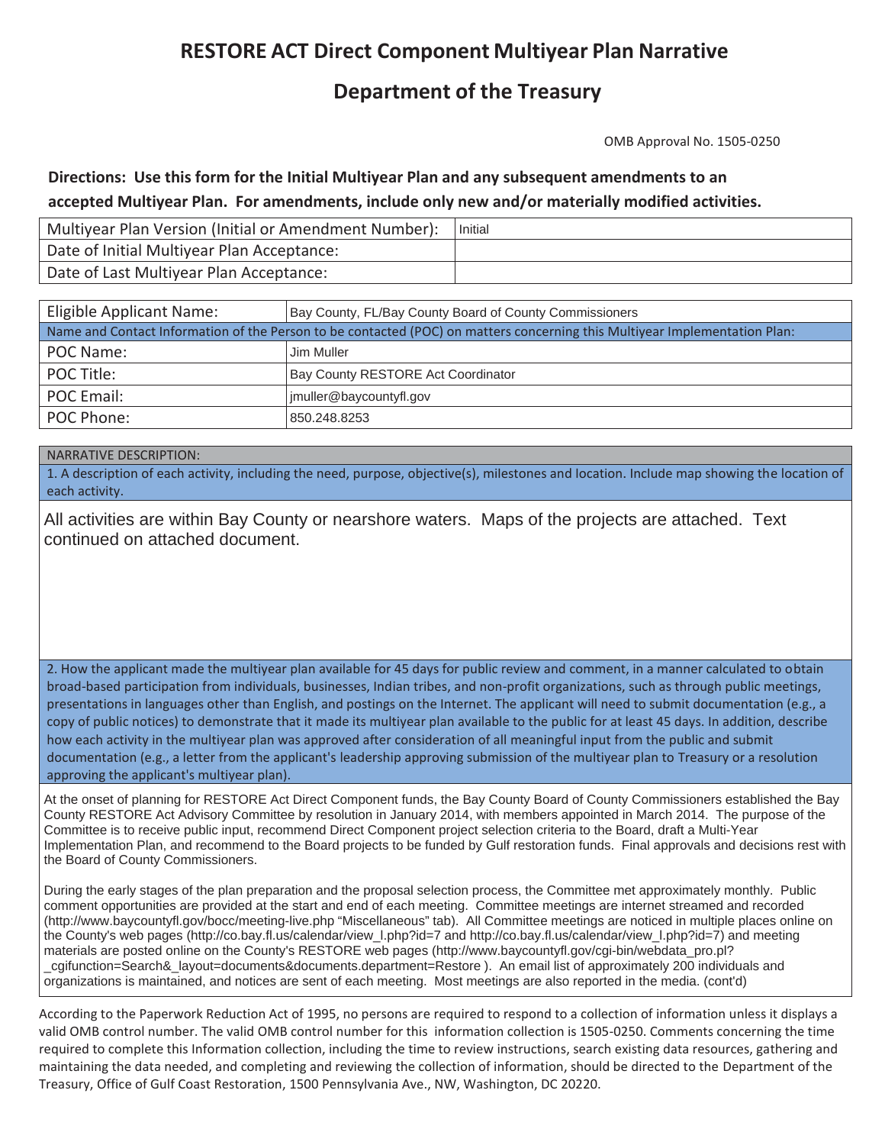# **RESTORE ACT Direct Component Multiyear Plan Narrative**

## **Department of the Treasury**

OMB Approval No. 1505-0250

## **Directions:Use this form for the Initial Multiyear Plan and any subsequent amendments to an accepted Multiyear Plan.For amendments, include only new and/or materially modified activities.**

| Multiyear Plan Version (Initial or Amendment Number): | Initial |
|-------------------------------------------------------|---------|
| Date of Initial Multiyear Plan Acceptance:            |         |
| Date of Last Multiyear Plan Acceptance:               |         |

| Eligible Applicant Name:                                                                                                   | Bay County, FL/Bay County Board of County Commissioners |  |  |  |  |
|----------------------------------------------------------------------------------------------------------------------------|---------------------------------------------------------|--|--|--|--|
| Name and Contact Information of the Person to be contacted (POC) on matters concerning this Multiyear Implementation Plan: |                                                         |  |  |  |  |
| POC Name:                                                                                                                  | Jim Muller                                              |  |  |  |  |
| POC Title:                                                                                                                 | Bay County RESTORE Act Coordinator                      |  |  |  |  |
| POC Email:                                                                                                                 | imuller@baycountyfl.gov                                 |  |  |  |  |
| POC Phone:                                                                                                                 | 850.248.8253                                            |  |  |  |  |

NARRATIVE DESCRIPTION:

1. A description of each activity, including the need, purpose, objective(s), milestones and location. Include map showing the location of location. s each activity.

All activities are within Bay County or nearshore waters. Maps of the projects are attached. Text continued on attached document.

2. How the applicant made the multiyear plan available for 45 days for public review and comment, in a manner calculated to obtain broad-based participation from individuals, businesses, Indian tribes, and non-profit organizations, such as through public meetings, presentations in languages other than English, and postings on the Internet. The applicant will need to submit documentation (e.g., a copy of public notices) to demonstrate that it made its multiyear plan available to the public for at least 45 days. In addition, describe how each activity in the multiyear plan was approved after consideration of all meaningful input from the public and submit documentation (e.g., a letter from the applicant's leadership approving submission of the multiyear plan to Treasury or a resolution approving the applicant's multiyear plan).

At the onset of planning for RESTORE Act Direct Component funds, the Bay County Board of County Commissioners established the Bay County RESTORE Act Advisory Committee by resolution in January 2014, with members appointed in March 2014. The purpose of the Committee is to receive public input, recommend Direct Component project selection criteria to the Board, draft a Multi-Year Implementation Plan, and recommend to the Board projects to be funded by Gulf restoration funds. Final approvals and decisions rest with the Board of County Commissioners.

During the early stages of the plan preparation and the proposal selection process, the Committee met approximately monthly. Public comment opportunities are provided at the start and end of each meeting. Committee meetings are internet streamed and recorded (http://www.baycountyfl.gov/bocc/meeting-live.php "Miscellaneous" tab). All Committee meetings are noticed in multiple places online on the County's web pages (http://co.bay.fl.us/calendar/view\_l.php?id=7 and http://co.bay.fl.us/calendar/view\_l.php?id=7) and meeting materials are posted online on the County's RESTORE web pages (http://www.baycountyfl.gov/cgi-bin/webdata\_pro.pl? \_cgifunction=Search&\_layout=documents&documents.department=Restore ). An email list of approximately 200 individuals and organizations is maintained, and notices are sent of each meeting. Most meetings are also reported in the media. (cont'd)

According to the Paperwork Reduction Act of 1995, no persons are required to respond to a collection of information unless it displays a valid OMB control number. The valid OMB control number for this information collection is 1505-0250. Comments concerning the time required to complete this Information collection, including the time to review instructions, search existing data resources, gathering and maintaining the data needed, and completing and reviewing the collection of information, should be directed to the Department of the Treasury, Office of Gulf Coast Restoration, 1500 Pennsylvania Ave., NW, Washington, DC 20220.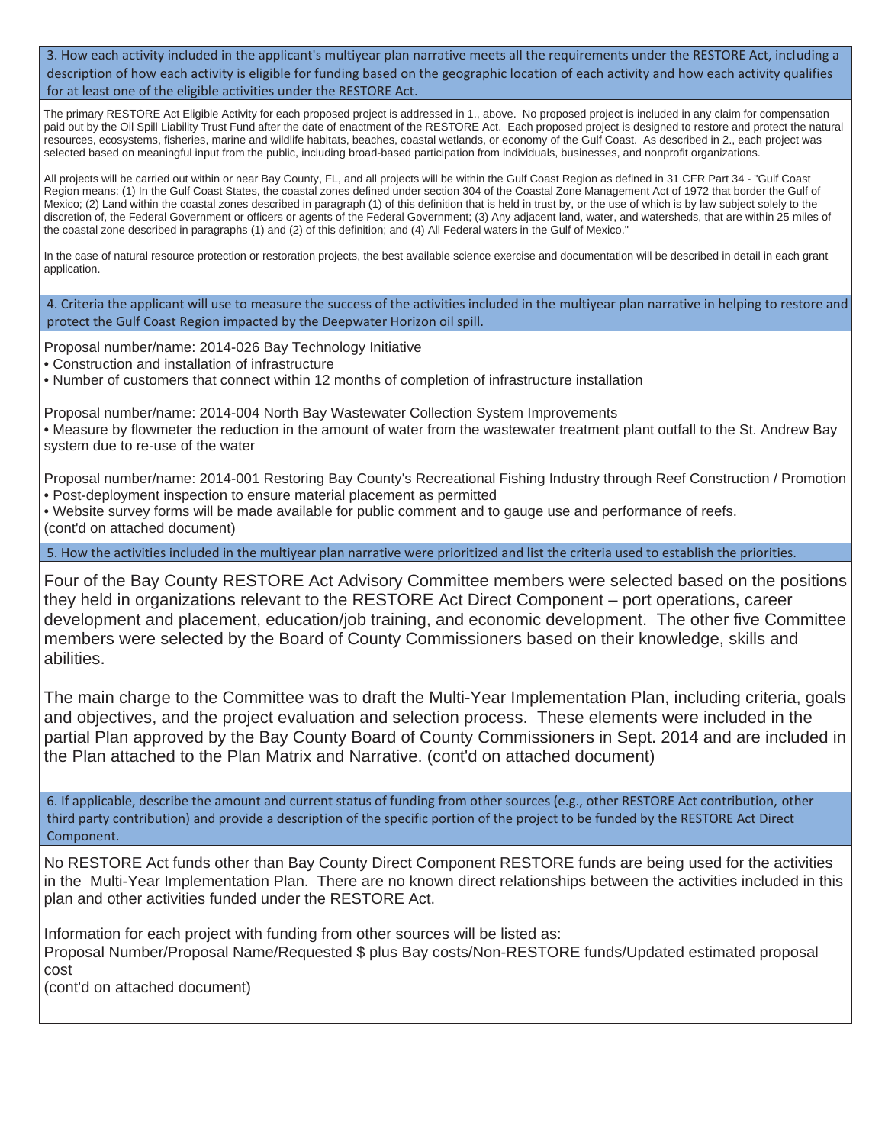3. How each activity included in the applicant's multiyear plan narrative meets all the requirements under the RESTORE Act, including a description of how each activity is eligible for funding based on the geographic location of each activity and how each activity qualifies for at least one of the eligible activities under the RESTORE Act.

The primary RESTORE Act Eligible Activity for each proposed project is addressed in 1., above. No proposed project is included in any claim for compensation paid out by the Oil Spill Liability Trust Fund after the date of enactment of the RESTORE Act. Each proposed project is designed to restore and protect the natural resources, ecosystems, fisheries, marine and wildlife habitats, beaches, coastal wetlands, or economy of the Gulf Coast. As described in 2., each project was selected based on meaningful input from the public, including broad-based participation from individuals, businesses, and nonprofit organizations.

All projects will be carried out within or near Bay County, FL, and all projects will be within the Gulf Coast Region as defined in 31 CFR Part 34 - "Gulf Coast Region means: (1) In the Gulf Coast States, the coastal zones defined under section 304 of the Coastal Zone Management Act of 1972 that border the Gulf of Mexico; (2) Land within the coastal zones described in paragraph (1) of this definition that is held in trust by, or the use of which is by law subject solely to the discretion of, the Federal Government or officers or agents of the Federal Government; (3) Any adjacent land, water, and watersheds, that are within 25 miles of the coastal zone described in paragraphs (1) and (2) of this definition; and (4) All Federal waters in the Gulf of Mexico."

In the case of natural resource protection or restoration projects, the best available science exercise and documentation will be described in detail in each grant application.

4. Criteria the applicant will use to measure the success of the activities included in the multiyear plan narrative in helping to restore and protect the Gulf Coast Region impacted by the Deepwater Horizon oil spill.

Proposal number/name: 2014-026 Bay Technology Initiative

• Construction and installation of infrastructure

• Number of customers that connect within 12 months of completion of infrastructure installation

Proposal number/name: 2014-004 North Bay Wastewater Collection System Improvements

• Measure by flowmeter the reduction in the amount of water from the wastewater treatment plant outfall to the St. Andrew Bay system due to re-use of the water

Proposal number/name: 2014-001 Restoring Bay County's Recreational Fishing Industry through Reef Construction / Promotion • Post-deployment inspection to ensure material placement as permitted

• Website survey forms will be made available for public comment and to gauge use and performance of reefs. (cont'd on attached document)

5. How the activities included in the multiyear plan narrative were prioritized and list the criteria used to establish the priorities.

Four of the Bay County RESTORE Act Advisory Committee members were selected based on the positions they held in organizations relevant to the RESTORE Act Direct Component – port operations, career development and placement, education/job training, and economic development. The other five Committee members were selected by the Board of County Commissioners based on their knowledge, skills and abilities.

The main charge to the Committee was to draft the Multi-Year Implementation Plan, including criteria, goals and objectives, and the project evaluation and selection process. These elements were included in the partial Plan approved by the Bay County Board of County Commissioners in Sept. 2014 and are included in the Plan attached to the Plan Matrix and Narrative. (cont'd on attached document)

6. If applicable, describe the amount and current status of funding from other sources (e.g., other RESTORE Act contribution, other third party contribution) and provide a description of the specific portion of the project to be funded by the RESTORE Act Direct Component.

No RESTORE Act funds other than Bay County Direct Component RESTORE funds are being used for the activities in the Multi-Year Implementation Plan. There are no known direct relationships between the activities included in this plan and other activities funded under the RESTORE Act.

Information for each project with funding from other sources will be listed as:

Proposal Number/Proposal Name/Requested \$ plus Bay costs/Non-RESTORE funds/Updated estimated proposal cost

(cont'd on attached document)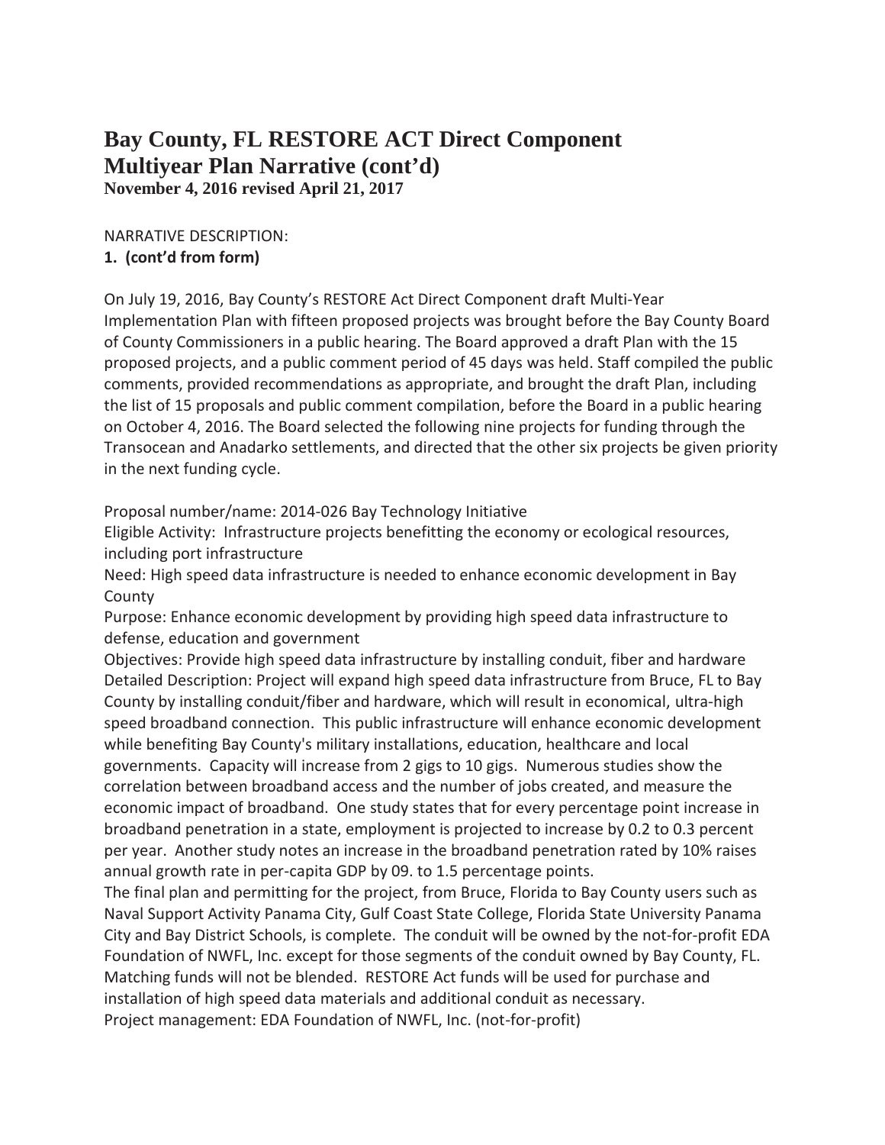## **Bay County, FL RESTORE ACT Direct Component Multiyear Plan Narrative (cont'd) November 4, 2016 revised April 21, 2017**

#### NARRATIVE DESCRIPTION: **1. (cont'd from form)**

On July 19, 2016, Bay County's RESTORE Act Direct Component draft Multi-Year Implementation Plan with fifteen proposed projects was brought before the Bay County Board of County Commissioners in a public hearing. The Board approved a draft Plan with the 15 proposed projects, and a public comment period of 45 days was held. Staff compiled the public comments, provided recommendations as appropriate, and brought the draft Plan, including the list of 15 proposals and public comment compilation, before the Board in a public hearing on October 4, 2016. The Board selected the following nine projects for funding through the Transocean and Anadarko settlements, and directed that the other six projects be given priority in the next funding cycle.

Proposal number/name: 2014-026 Bay Technology Initiative

Eligible Activity: Infrastructure projects benefitting the economy or ecological resources, including port infrastructure

Need: High speed data infrastructure is needed to enhance economic development in Bay County

Purpose: Enhance economic development by providing high speed data infrastructure to defense, education and government

Objectives: Provide high speed data infrastructure by installing conduit, fiber and hardware Detailed Description: Project will expand high speed data infrastructure from Bruce, FL to Bay County by installing conduit/fiber and hardware, which will result in economical, ultra-high speed broadband connection. This public infrastructure will enhance economic development while benefiting Bay County's military installations, education, healthcare and local governments. Capacity will increase from 2 gigs to 10 gigs. Numerous studies show the correlation between broadband access and the number of jobs created, and measure the economic impact of broadband. One study states that for every percentage point increase in broadband penetration in a state, employment is projected to increase by 0.2 to 0.3 percent per year. Another study notes an increase in the broadband penetration rated by 10% raises annual growth rate in per-capita GDP by 09. to 1.5 percentage points.

The final plan and permitting for the project, from Bruce, Florida to Bay County users such as Naval Support Activity Panama City, Gulf Coast State College, Florida State University Panama City and Bay District Schools, is complete. The conduit will be owned by the not-for-profit EDA Foundation of NWFL, Inc. except for those segments of the conduit owned by Bay County, FL. Matching funds will not be blended. RESTORE Act funds will be used for purchase and installation of high speed data materials and additional conduit as necessary. Project management: EDA Foundation of NWFL, Inc. (not-for-profit)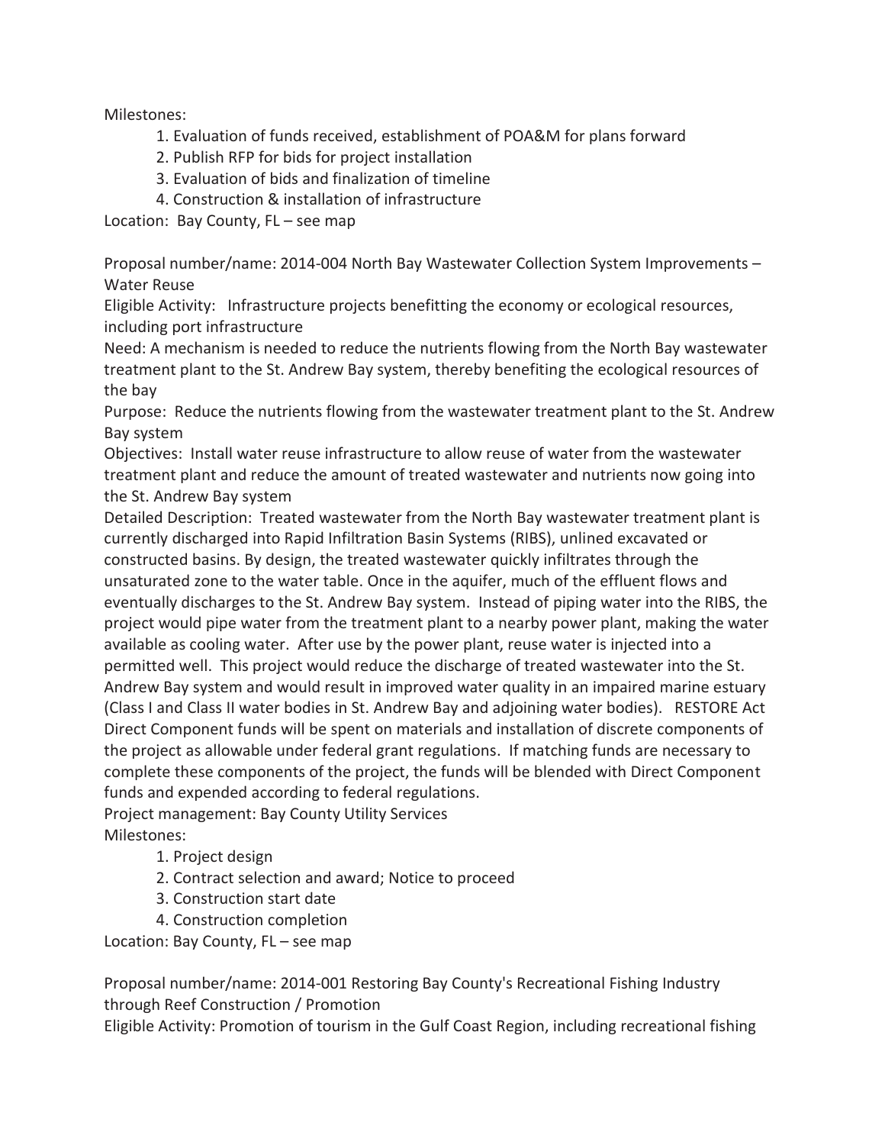Milestones:

- 1. Evaluation of funds received, establishment of POA&M for plans forward
- 2. Publish RFP for bids for project installation
- 3. Evaluation of bids and finalization of timeline
- 4. Construction & installation of infrastructure

Location: Bay County, FL – see map

Proposal number/name: 2014-004 North Bay Wastewater Collection System Improvements – Water Reuse

Eligible Activity: Infrastructure projects benefitting the economy or ecological resources, including port infrastructure

Need: A mechanism is needed to reduce the nutrients flowing from the North Bay wastewater treatment plant to the St. Andrew Bay system, thereby benefiting the ecological resources of the bay

Purpose: Reduce the nutrients flowing from the wastewater treatment plant to the St. Andrew Bay system

Objectives: Install water reuse infrastructure to allow reuse of water from the wastewater treatment plant and reduce the amount of treated wastewater and nutrients now going into the St. Andrew Bay system

Detailed Description: Treated wastewater from the North Bay wastewater treatment plant is currently discharged into Rapid Infiltration Basin Systems (RIBS), unlined excavated or constructed basins. By design, the treated wastewater quickly infiltrates through the unsaturated zone to the water table. Once in the aquifer, much of the effluent flows and eventually discharges to the St. Andrew Bay system. Instead of piping water into the RIBS, the project would pipe water from the treatment plant to a nearby power plant, making the water available as cooling water. After use by the power plant, reuse water is injected into a permitted well. This project would reduce the discharge of treated wastewater into the St. Andrew Bay system and would result in improved water quality in an impaired marine estuary (Class I and Class II water bodies in St. Andrew Bay and adjoining water bodies). RESTORE Act Direct Component funds will be spent on materials and installation of discrete components of the project as allowable under federal grant regulations. If matching funds are necessary to complete these components of the project, the funds will be blended with Direct Component funds and expended according to federal regulations.

Project management: Bay County Utility Services Milestones:

- 1. Project design
- 2. Contract selection and award; Notice to proceed
- 3. Construction start date
- 4. Construction completion

Location: Bay County, FL – see map

Proposal number/name: 2014-001 Restoring Bay County's Recreational Fishing Industry through Reef Construction / Promotion

Eligible Activity: Promotion of tourism in the Gulf Coast Region, including recreational fishing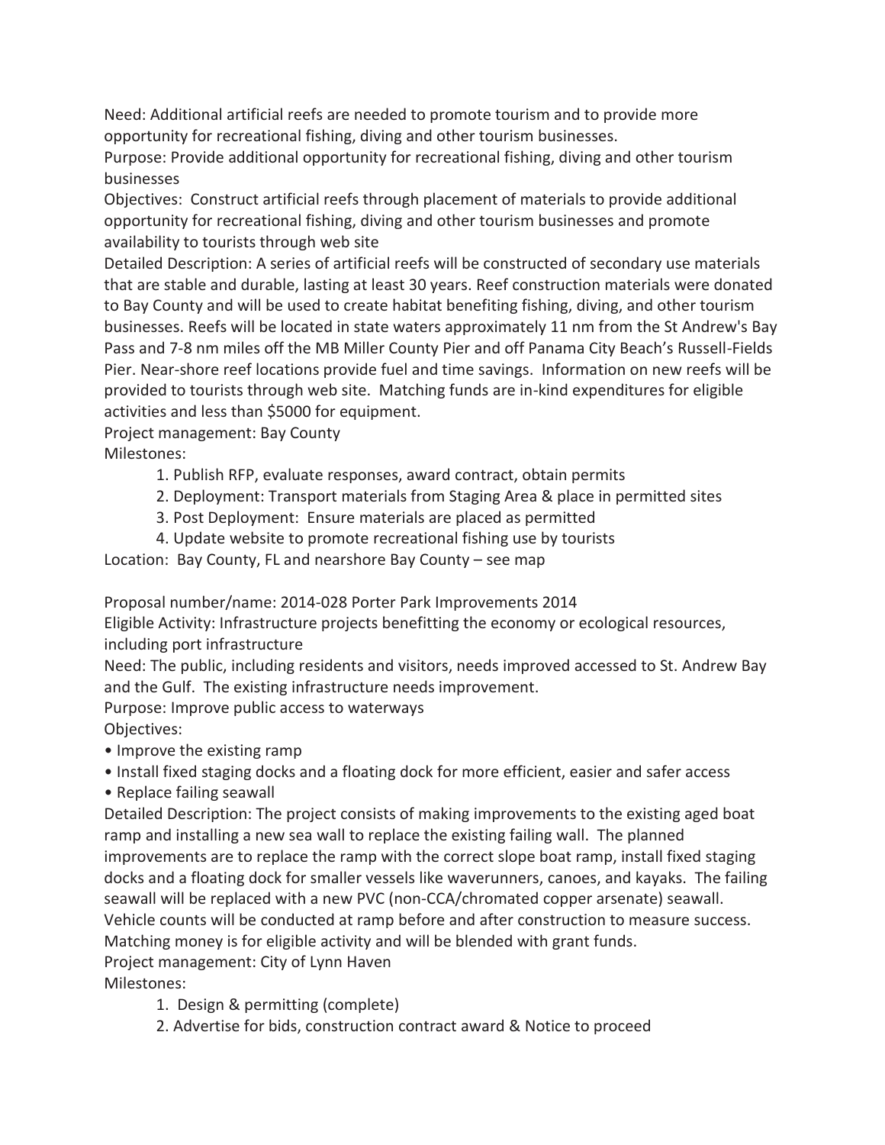Need: Additional artificial reefs are needed to promote tourism and to provide more opportunity for recreational fishing, diving and other tourism businesses.

Purpose: Provide additional opportunity for recreational fishing, diving and other tourism businesses

Objectives: Construct artificial reefs through placement of materials to provide additional opportunity for recreational fishing, diving and other tourism businesses and promote availability to tourists through web site

Detailed Description: A series of artificial reefs will be constructed of secondary use materials that are stable and durable, lasting at least 30 years. Reef construction materials were donated to Bay County and will be used to create habitat benefiting fishing, diving, and other tourism businesses. Reefs will be located in state waters approximately 11 nm from the St Andrew's Bay Pass and 7-8 nm miles off the MB Miller County Pier and off Panama City Beach's Russell-Fields Pier. Near-shore reef locations provide fuel and time savings. Information on new reefs will be provided to tourists through web site. Matching funds are in-kind expenditures for eligible activities and less than \$5000 for equipment.

Project management: Bay County

Milestones:

- 1. Publish RFP, evaluate responses, award contract, obtain permits
- 2. Deployment: Transport materials from Staging Area & place in permitted sites
- 3. Post Deployment: Ensure materials are placed as permitted
- 4. Update website to promote recreational fishing use by tourists

Location: Bay County, FL and nearshore Bay County – see map

Proposal number/name: 2014-028 Porter Park Improvements 2014

Eligible Activity: Infrastructure projects benefitting the economy or ecological resources, including port infrastructure

Need: The public, including residents and visitors, needs improved accessed to St. Andrew Bay and the Gulf. The existing infrastructure needs improvement.

Purpose: Improve public access to waterways

Objectives:

- Improve the existing ramp
- Install fixed staging docks and a floating dock for more efficient, easier and safer access
- Replace failing seawall

Detailed Description: The project consists of making improvements to the existing aged boat ramp and installing a new sea wall to replace the existing failing wall. The planned improvements are to replace the ramp with the correct slope boat ramp, install fixed staging docks and a floating dock for smaller vessels like waverunners, canoes, and kayaks. The failing seawall will be replaced with a new PVC (non-CCA/chromated copper arsenate) seawall. Vehicle counts will be conducted at ramp before and after construction to measure success. Matching money is for eligible activity and will be blended with grant funds.

Project management: City of Lynn Haven

Milestones:

- 1. Design & permitting (complete)
- 2. Advertise for bids, construction contract award & Notice to proceed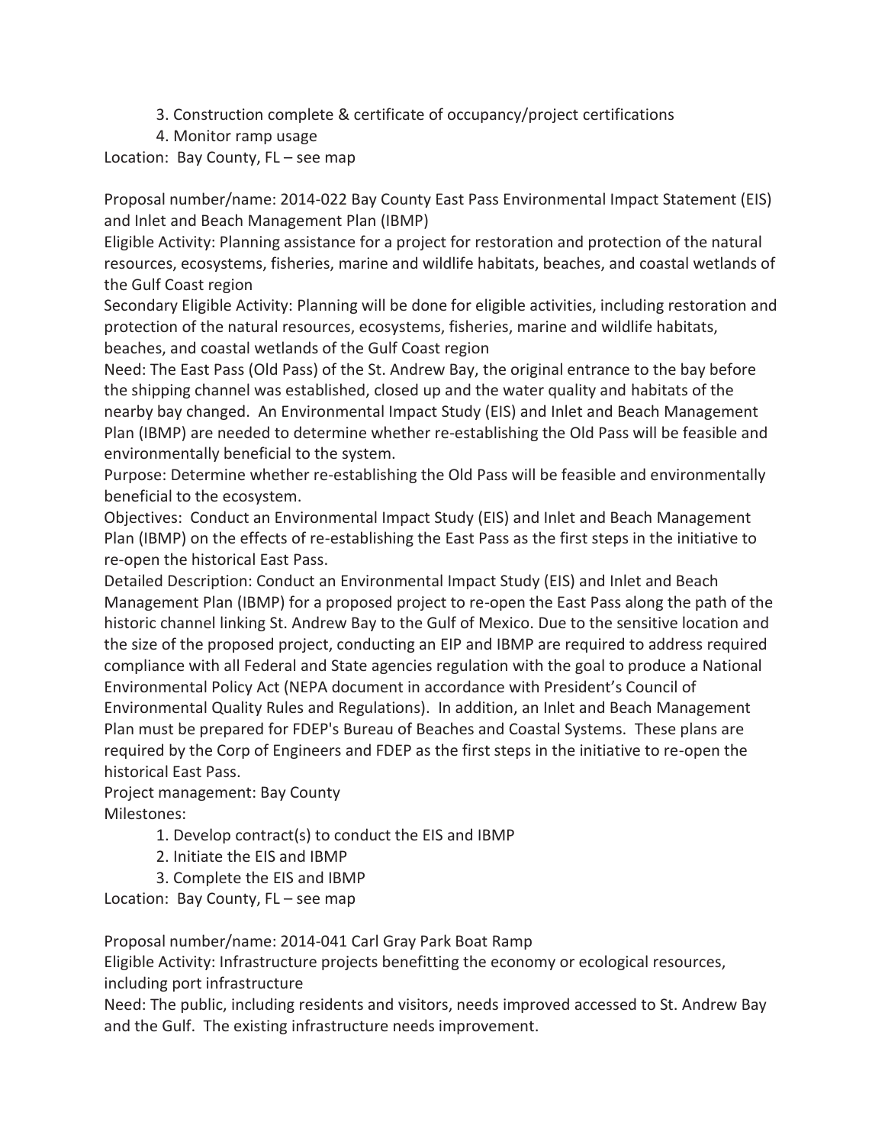- 3. Construction complete & certificate of occupancy/project certifications
- 4. Monitor ramp usage

Location: Bay County, FL – see map

Proposal number/name: 2014-022 Bay County East Pass Environmental Impact Statement (EIS) and Inlet and Beach Management Plan (IBMP)

Eligible Activity: Planning assistance for a project for restoration and protection of the natural resources, ecosystems, fisheries, marine and wildlife habitats, beaches, and coastal wetlands of the Gulf Coast region

Secondary Eligible Activity: Planning will be done for eligible activities, including restoration and protection of the natural resources, ecosystems, fisheries, marine and wildlife habitats, beaches, and coastal wetlands of the Gulf Coast region

Need: The East Pass (Old Pass) of the St. Andrew Bay, the original entrance to the bay before the shipping channel was established, closed up and the water quality and habitats of the nearby bay changed. An Environmental Impact Study (EIS) and Inlet and Beach Management Plan (IBMP) are needed to determine whether re-establishing the Old Pass will be feasible and environmentally beneficial to the system.

Purpose: Determine whether re-establishing the Old Pass will be feasible and environmentally beneficial to the ecosystem.

Objectives: Conduct an Environmental Impact Study (EIS) and Inlet and Beach Management Plan (IBMP) on the effects of re-establishing the East Pass as the first steps in the initiative to re-open the historical East Pass.

Detailed Description: Conduct an Environmental Impact Study (EIS) and Inlet and Beach Management Plan (IBMP) for a proposed project to re-open the East Pass along the path of the historic channel linking St. Andrew Bay to the Gulf of Mexico. Due to the sensitive location and the size of the proposed project, conducting an EIP and IBMP are required to address required compliance with all Federal and State agencies regulation with the goal to produce a National Environmental Policy Act (NEPA document in accordance with President's Council of Environmental Quality Rules and Regulations). In addition, an Inlet and Beach Management Plan must be prepared for FDEP's Bureau of Beaches and Coastal Systems. These plans are required by the Corp of Engineers and FDEP as the first steps in the initiative to re-open the historical East Pass.

Project management: Bay County Milestones:

- 1. Develop contract(s) to conduct the EIS and IBMP
- 2. Initiate the EIS and IBMP
- 3. Complete the EIS and IBMP

Location: Bay County, FL – see map

Proposal number/name: 2014-041 Carl Gray Park Boat Ramp

Eligible Activity: Infrastructure projects benefitting the economy or ecological resources, including port infrastructure

Need: The public, including residents and visitors, needs improved accessed to St. Andrew Bay and the Gulf. The existing infrastructure needs improvement.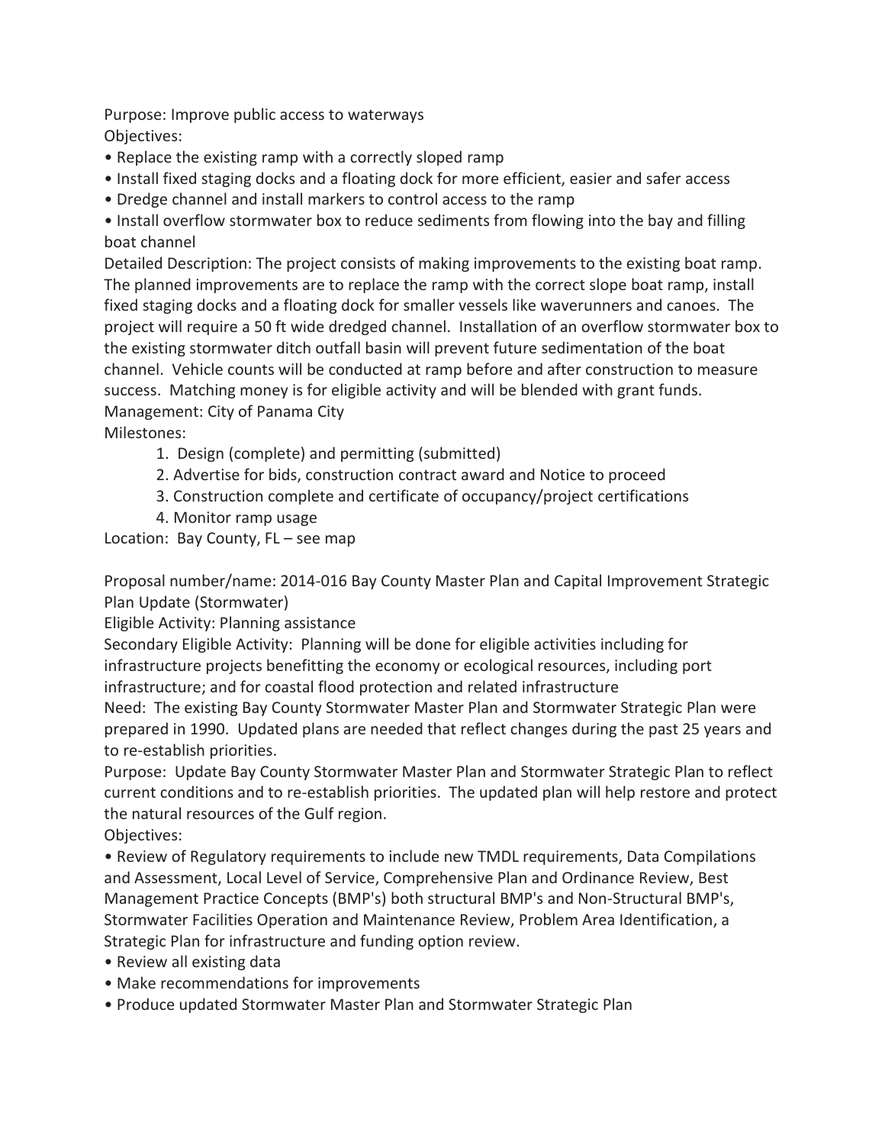Purpose: Improve public access to waterways Objectives:

- Replace the existing ramp with a correctly sloped ramp
- Install fixed staging docks and a floating dock for more efficient, easier and safer access
- Dredge channel and install markers to control access to the ramp

• Install overflow stormwater box to reduce sediments from flowing into the bay and filling boat channel

Detailed Description: The project consists of making improvements to the existing boat ramp. The planned improvements are to replace the ramp with the correct slope boat ramp, install fixed staging docks and a floating dock for smaller vessels like waverunners and canoes. The project will require a 50 ft wide dredged channel. Installation of an overflow stormwater box to the existing stormwater ditch outfall basin will prevent future sedimentation of the boat channel. Vehicle counts will be conducted at ramp before and after construction to measure success. Matching money is for eligible activity and will be blended with grant funds. Management: City of Panama City

Milestones:

- 1. Design (complete) and permitting (submitted)
- 2. Advertise for bids, construction contract award and Notice to proceed
- 3. Construction complete and certificate of occupancy/project certifications
- 4. Monitor ramp usage

Location: Bay County, FL – see map

Proposal number/name: 2014-016 Bay County Master Plan and Capital Improvement Strategic Plan Update (Stormwater)

Eligible Activity: Planning assistance

Secondary Eligible Activity: Planning will be done for eligible activities including for infrastructure projects benefitting the economy or ecological resources, including port infrastructure; and for coastal flood protection and related infrastructure

Need: The existing Bay County Stormwater Master Plan and Stormwater Strategic Plan were prepared in 1990. Updated plans are needed that reflect changes during the past 25 years and to re-establish priorities.

Purpose: Update Bay County Stormwater Master Plan and Stormwater Strategic Plan to reflect current conditions and to re-establish priorities. The updated plan will help restore and protect the natural resources of the Gulf region.

Objectives:

• Review of Regulatory requirements to include new TMDL requirements, Data Compilations and Assessment, Local Level of Service, Comprehensive Plan and Ordinance Review, Best Management Practice Concepts (BMP's) both structural BMP's and Non-Structural BMP's, Stormwater Facilities Operation and Maintenance Review, Problem Area Identification, a Strategic Plan for infrastructure and funding option review.

- Review all existing data
- Make recommendations for improvements
- Produce updated Stormwater Master Plan and Stormwater Strategic Plan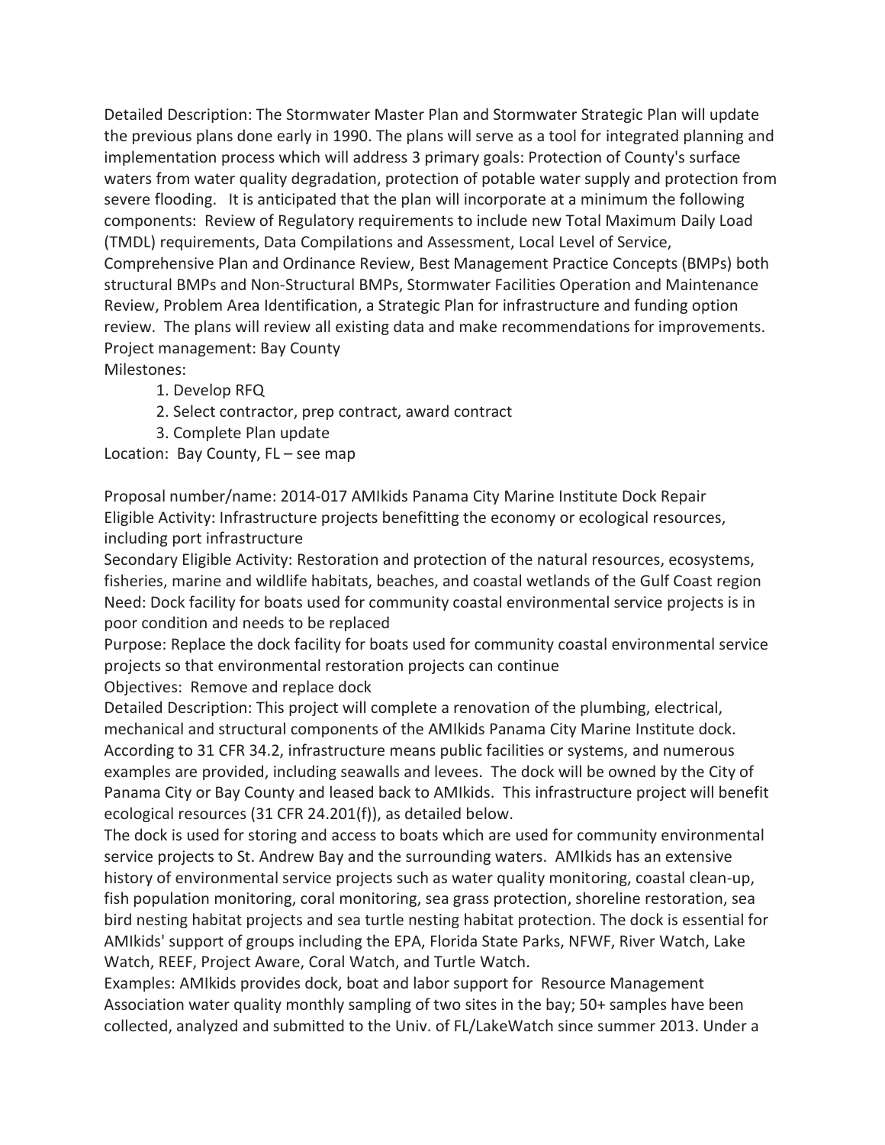Detailed Description: The Stormwater Master Plan and Stormwater Strategic Plan will update the previous plans done early in 1990. The plans will serve as a tool for integrated planning and implementation process which will address 3 primary goals: Protection of County's surface waters from water quality degradation, protection of potable water supply and protection from severe flooding. It is anticipated that the plan will incorporate at a minimum the following components: Review of Regulatory requirements to include new Total Maximum Daily Load (TMDL) requirements, Data Compilations and Assessment, Local Level of Service, Comprehensive Plan and Ordinance Review, Best Management Practice Concepts (BMPs) both structural BMPs and Non-Structural BMPs, Stormwater Facilities Operation and Maintenance Review, Problem Area Identification, a Strategic Plan for infrastructure and funding option review. The plans will review all existing data and make recommendations for improvements. Project management: Bay County Milestones:

- 1. Develop RFQ
- 2. Select contractor, prep contract, award contract
- 3. Complete Plan update

Location: Bay County, FL – see map

Proposal number/name: 2014-017 AMIkids Panama City Marine Institute Dock Repair Eligible Activity: Infrastructure projects benefitting the economy or ecological resources, including port infrastructure

Secondary Eligible Activity: Restoration and protection of the natural resources, ecosystems, fisheries, marine and wildlife habitats, beaches, and coastal wetlands of the Gulf Coast region Need: Dock facility for boats used for community coastal environmental service projects is in poor condition and needs to be replaced

Purpose: Replace the dock facility for boats used for community coastal environmental service projects so that environmental restoration projects can continue

Objectives: Remove and replace dock

Detailed Description: This project will complete a renovation of the plumbing, electrical, mechanical and structural components of the AMIkids Panama City Marine Institute dock. According to 31 CFR 34.2, infrastructure means public facilities or systems, and numerous examples are provided, including seawalls and levees. The dock will be owned by the City of Panama City or Bay County and leased back to AMIkids. This infrastructure project will benefit ecological resources (31 CFR 24.201(f)), as detailed below.

The dock is used for storing and access to boats which are used for community environmental service projects to St. Andrew Bay and the surrounding waters. AMIkids has an extensive history of environmental service projects such as water quality monitoring, coastal clean-up, fish population monitoring, coral monitoring, sea grass protection, shoreline restoration, sea bird nesting habitat projects and sea turtle nesting habitat protection. The dock is essential for AMIkids' support of groups including the EPA, Florida State Parks, NFWF, River Watch, Lake Watch, REEF, Project Aware, Coral Watch, and Turtle Watch.

Examples: AMIkids provides dock, boat and labor support for Resource Management Association water quality monthly sampling of two sites in the bay; 50+ samples have been collected, analyzed and submitted to the Univ. of FL/LakeWatch since summer 2013. Under a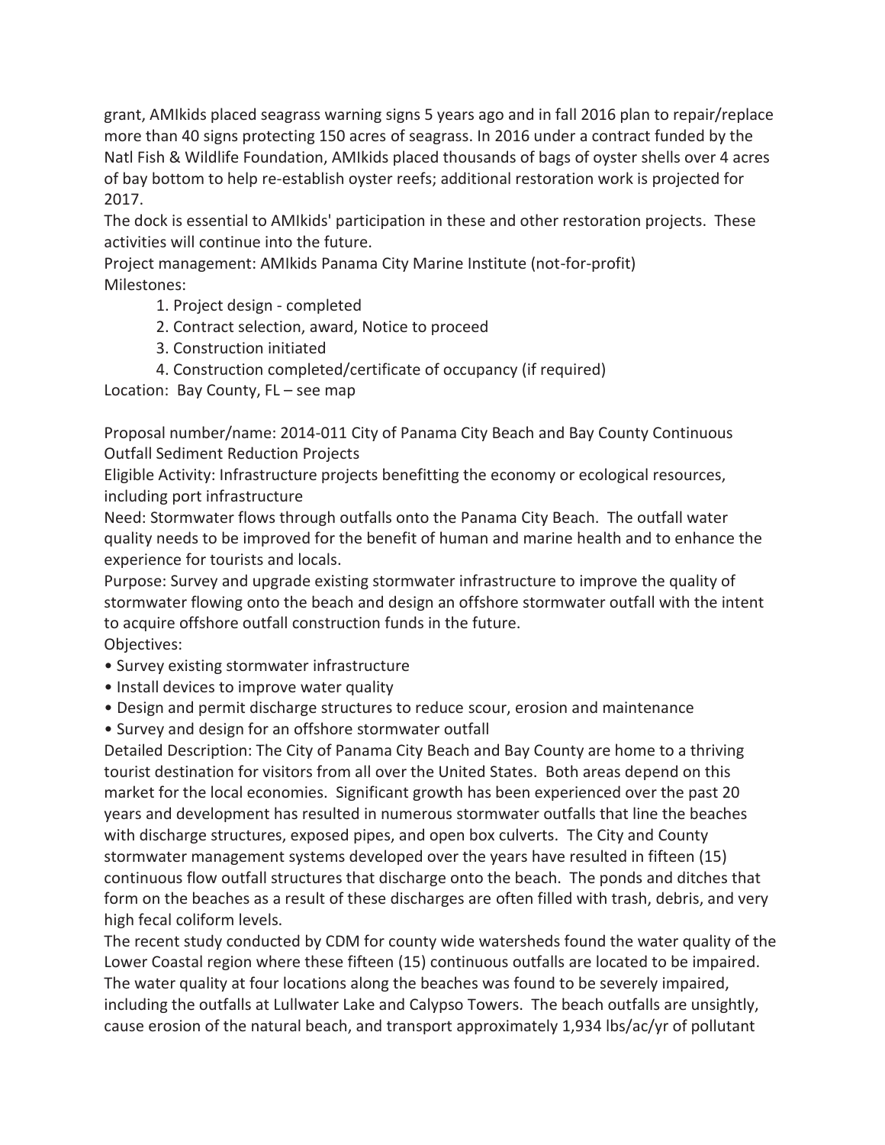grant, AMIkids placed seagrass warning signs 5 years ago and in fall 2016 plan to repair/replace more than 40 signs protecting 150 acres of seagrass. In 2016 under a contract funded by the Natl Fish & Wildlife Foundation, AMIkids placed thousands of bags of oyster shells over 4 acres of bay bottom to help re-establish oyster reefs; additional restoration work is projected for 2017.

The dock is essential to AMIkids' participation in these and other restoration projects. These activities will continue into the future.

Project management: AMIkids Panama City Marine Institute (not-for-profit) Milestones:

- 1. Project design completed
- 2. Contract selection, award, Notice to proceed
- 3. Construction initiated
- 4. Construction completed/certificate of occupancy (if required)

Location: Bay County, FL – see map

Proposal number/name: 2014-011 City of Panama City Beach and Bay County Continuous Outfall Sediment Reduction Projects

Eligible Activity: Infrastructure projects benefitting the economy or ecological resources, including port infrastructure

Need: Stormwater flows through outfalls onto the Panama City Beach. The outfall water quality needs to be improved for the benefit of human and marine health and to enhance the experience for tourists and locals.

Purpose: Survey and upgrade existing stormwater infrastructure to improve the quality of stormwater flowing onto the beach and design an offshore stormwater outfall with the intent to acquire offshore outfall construction funds in the future. Objectives:

- Survey existing stormwater infrastructure
- Install devices to improve water quality
- Design and permit discharge structures to reduce scour, erosion and maintenance
- Survey and design for an offshore stormwater outfall

Detailed Description: The City of Panama City Beach and Bay County are home to a thriving tourist destination for visitors from all over the United States. Both areas depend on this market for the local economies. Significant growth has been experienced over the past 20 years and development has resulted in numerous stormwater outfalls that line the beaches with discharge structures, exposed pipes, and open box culverts. The City and County stormwater management systems developed over the years have resulted in fifteen (15) continuous flow outfall structures that discharge onto the beach. The ponds and ditches that form on the beaches as a result of these discharges are often filled with trash, debris, and very high fecal coliform levels.

The recent study conducted by CDM for county wide watersheds found the water quality of the Lower Coastal region where these fifteen (15) continuous outfalls are located to be impaired. The water quality at four locations along the beaches was found to be severely impaired, including the outfalls at Lullwater Lake and Calypso Towers. The beach outfalls are unsightly, cause erosion of the natural beach, and transport approximately 1,934 lbs/ac/yr of pollutant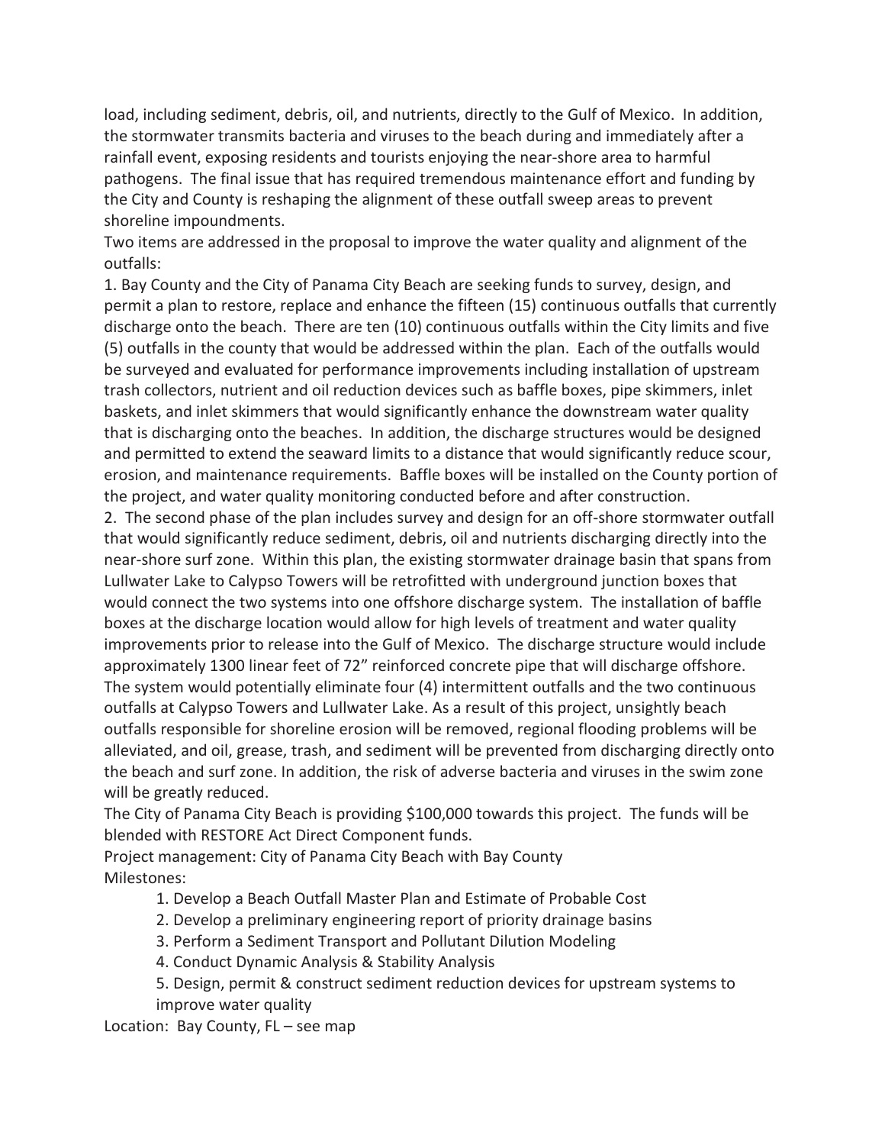load, including sediment, debris, oil, and nutrients, directly to the Gulf of Mexico. In addition, the stormwater transmits bacteria and viruses to the beach during and immediately after a rainfall event, exposing residents and tourists enjoying the near-shore area to harmful pathogens. The final issue that has required tremendous maintenance effort and funding by the City and County is reshaping the alignment of these outfall sweep areas to prevent shoreline impoundments.

Two items are addressed in the proposal to improve the water quality and alignment of the outfalls:

1. Bay County and the City of Panama City Beach are seeking funds to survey, design, and permit a plan to restore, replace and enhance the fifteen (15) continuous outfalls that currently discharge onto the beach. There are ten (10) continuous outfalls within the City limits and five (5) outfalls in the county that would be addressed within the plan. Each of the outfalls would be surveyed and evaluated for performance improvements including installation of upstream trash collectors, nutrient and oil reduction devices such as baffle boxes, pipe skimmers, inlet baskets, and inlet skimmers that would significantly enhance the downstream water quality that is discharging onto the beaches. In addition, the discharge structures would be designed and permitted to extend the seaward limits to a distance that would significantly reduce scour, erosion, and maintenance requirements. Baffle boxes will be installed on the County portion of the project, and water quality monitoring conducted before and after construction.

2. The second phase of the plan includes survey and design for an off-shore stormwater outfall that would significantly reduce sediment, debris, oil and nutrients discharging directly into the near-shore surf zone. Within this plan, the existing stormwater drainage basin that spans from Lullwater Lake to Calypso Towers will be retrofitted with underground junction boxes that would connect the two systems into one offshore discharge system. The installation of baffle boxes at the discharge location would allow for high levels of treatment and water quality improvements prior to release into the Gulf of Mexico. The discharge structure would include approximately 1300 linear feet of 72" reinforced concrete pipe that will discharge offshore. The system would potentially eliminate four (4) intermittent outfalls and the two continuous outfalls at Calypso Towers and Lullwater Lake. As a result of this project, unsightly beach outfalls responsible for shoreline erosion will be removed, regional flooding problems will be alleviated, and oil, grease, trash, and sediment will be prevented from discharging directly onto the beach and surf zone. In addition, the risk of adverse bacteria and viruses in the swim zone will be greatly reduced.

The City of Panama City Beach is providing \$100,000 towards this project. The funds will be blended with RESTORE Act Direct Component funds.

Project management: City of Panama City Beach with Bay County Milestones:

- 1. Develop a Beach Outfall Master Plan and Estimate of Probable Cost
- 2. Develop a preliminary engineering report of priority drainage basins
- 3. Perform a Sediment Transport and Pollutant Dilution Modeling
- 4. Conduct Dynamic Analysis & Stability Analysis
- 5. Design, permit & construct sediment reduction devices for upstream systems to improve water quality

Location: Bay County, FL – see map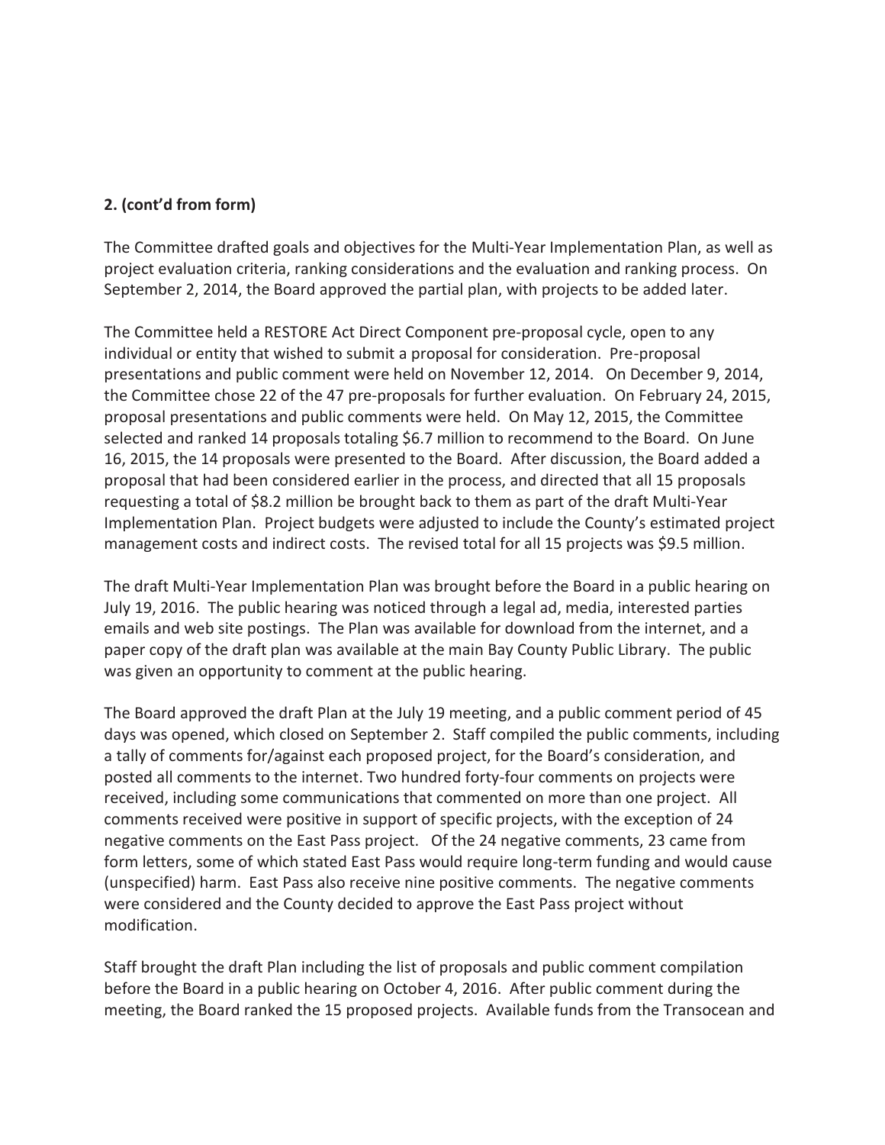The Committee drafted goals and objectives for the Multi-Year Implementation Plan, as well as project evaluation criteria, ranking considerations and the evaluation and ranking process. On September 2, 2014, the Board approved the partial plan, with projects to be added later.

The Committee held a RESTORE Act Direct Component pre-proposal cycle, open to any individual or entity that wished to submit a proposal for consideration. Pre-proposal presentations and public comment were held on November 12, 2014. On December 9, 2014, the Committee chose 22 of the 47 pre-proposals for further evaluation. On February 24, 2015, proposal presentations and public comments were held. On May 12, 2015, the Committee selected and ranked 14 proposals totaling \$6.7 million to recommend to the Board. On June 16, 2015, the 14 proposals were presented to the Board. After discussion, the Board added a proposal that had been considered earlier in the process, and directed that all 15 proposals requesting a total of \$8.2 million be brought back to them as part of the draft Multi-Year Implementation Plan. Project budgets were adjusted to include the County's estimated project management costs and indirect costs. The revised total for all 15 projects was \$9.5 million.

The draft Multi-Year Implementation Plan was brought before the Board in a public hearing on July 19, 2016. The public hearing was noticed through a legal ad, media, interested parties emails and web site postings. The Plan was available for download from the internet, and a paper copy of the draft plan was available at the main Bay County Public Library. The public was given an opportunity to comment at the public hearing.

The Board approved the draft Plan at the July 19 meeting, and a public comment period of 45 days was opened, which closed on September 2. Staff compiled the public comments, including a tally of comments for/against each proposed project, for the Board's consideration, and posted all comments to the internet. Two hundred forty-four comments on projects were received, including some communications that commented on more than one project. All comments received were positive in support of specific projects, with the exception of 24 negative comments on the East Pass project. Of the 24 negative comments, 23 came from form letters, some of which stated East Pass would require long-term funding and would cause (unspecified) harm. East Pass also receive nine positive comments. The negative comments were considered and the County decided to approve the East Pass project without modification.

Staff brought the draft Plan including the list of proposals and public comment compilation before the Board in a public hearing on October 4, 2016. After public comment during the meeting, the Board ranked the 15 proposed projects. Available funds from the Transocean and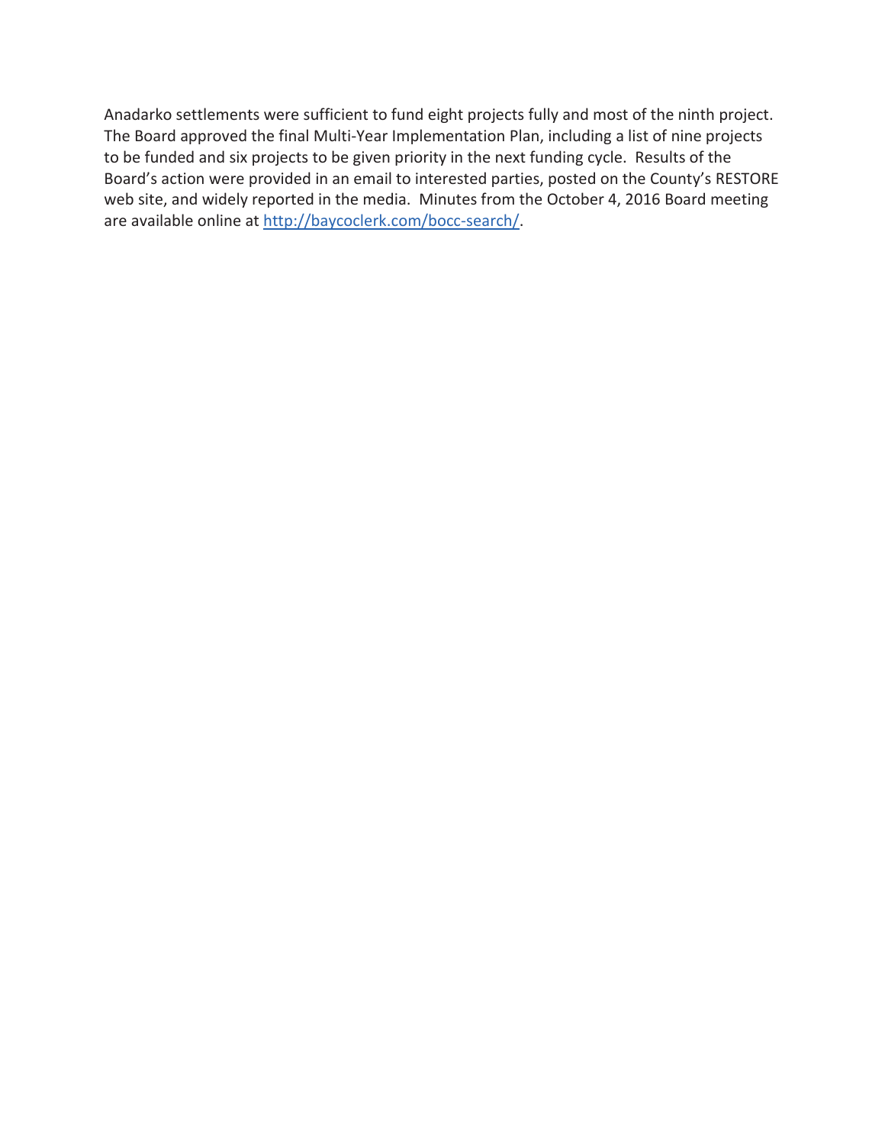Anadarko settlements were sufficient to fund eight projects fully and most of the ninth project. The Board approved the final Multi-Year Implementation Plan, including a list of nine projects to be funded and six projects to be given priority in the next funding cycle. Results of the Board's action were provided in an email to interested parties, posted on the County's RESTORE web site, and widely reported in the media. Minutes from the October 4, 2016 Board meeting are available online at http://baycoclerk.com/bocc-search/.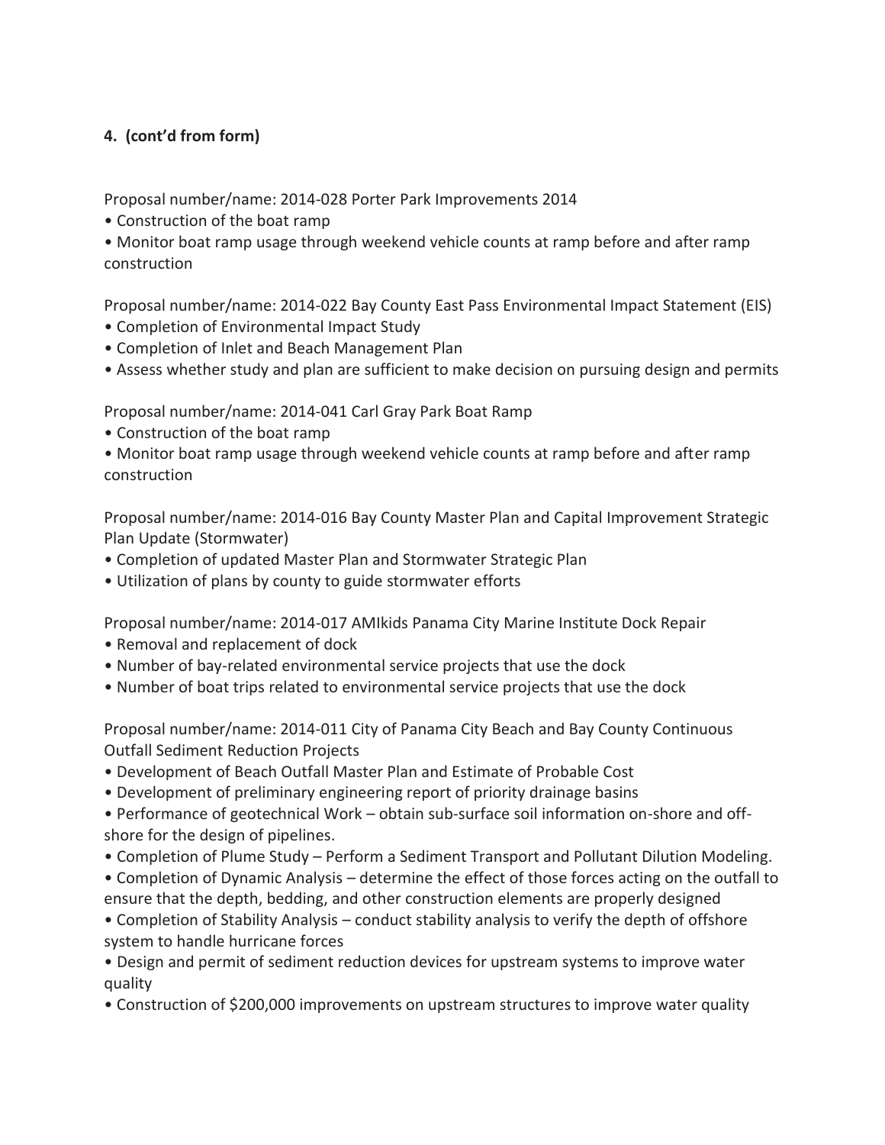Proposal number/name: 2014-028 Porter Park Improvements 2014

• Construction of the boat ramp

• Monitor boat ramp usage through weekend vehicle counts at ramp before and after ramp construction

Proposal number/name: 2014-022 Bay County East Pass Environmental Impact Statement (EIS)

- Completion of Environmental Impact Study
- Completion of Inlet and Beach Management Plan
- Assess whether study and plan are sufficient to make decision on pursuing design and permits

Proposal number/name: 2014-041 Carl Gray Park Boat Ramp

- Construction of the boat ramp
- Monitor boat ramp usage through weekend vehicle counts at ramp before and after ramp construction

Proposal number/name: 2014-016 Bay County Master Plan and Capital Improvement Strategic Plan Update (Stormwater)

- Completion of updated Master Plan and Stormwater Strategic Plan
- Utilization of plans by county to guide stormwater efforts

Proposal number/name: 2014-017 AMIkids Panama City Marine Institute Dock Repair

- Removal and replacement of dock
- Number of bay-related environmental service projects that use the dock
- Number of boat trips related to environmental service projects that use the dock

Proposal number/name: 2014-011 City of Panama City Beach and Bay County Continuous Outfall Sediment Reduction Projects

- Development of Beach Outfall Master Plan and Estimate of Probable Cost
- Development of preliminary engineering report of priority drainage basins

• Performance of geotechnical Work – obtain sub-surface soil information on-shore and offshore for the design of pipelines.

- Completion of Plume Study Perform a Sediment Transport and Pollutant Dilution Modeling.
- Completion of Dynamic Analysis determine the effect of those forces acting on the outfall to ensure that the depth, bedding, and other construction elements are properly designed

• Completion of Stability Analysis – conduct stability analysis to verify the depth of offshore system to handle hurricane forces

• Design and permit of sediment reduction devices for upstream systems to improve water quality

• Construction of \$200,000 improvements on upstream structures to improve water quality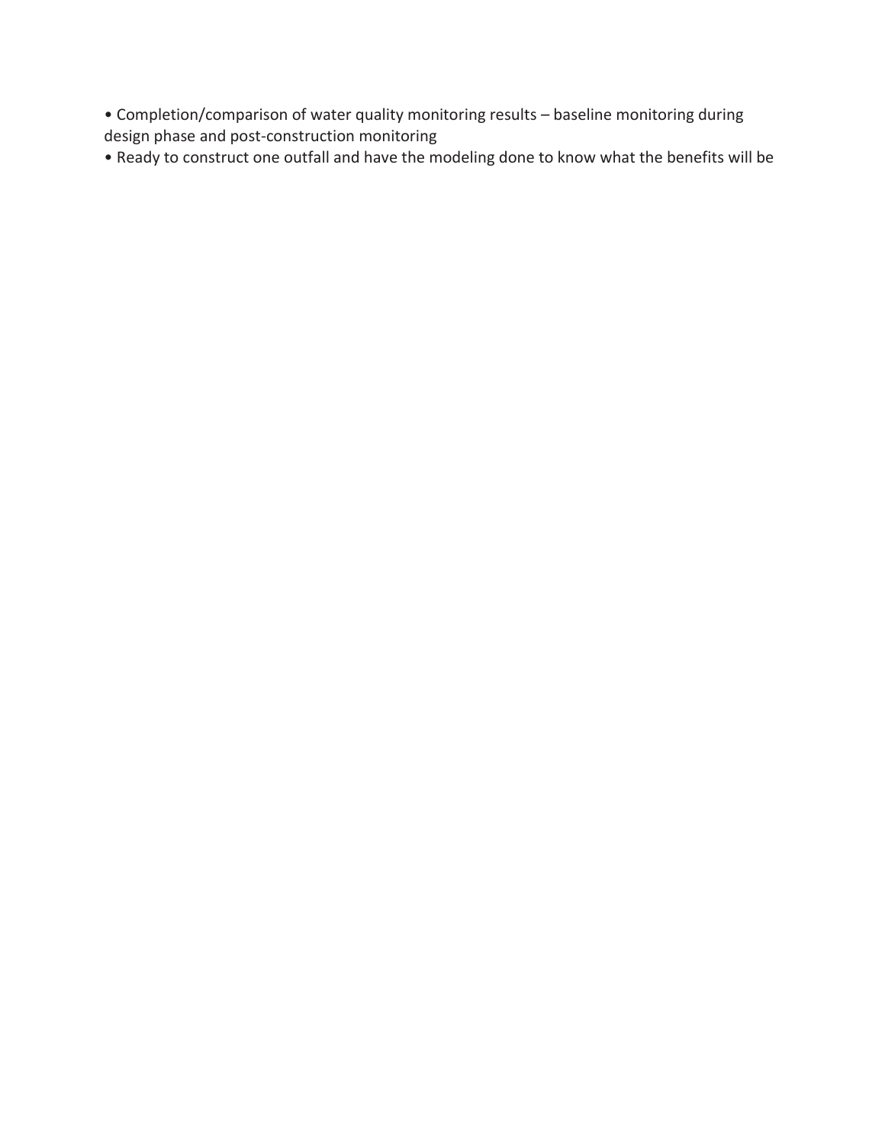• Completion/comparison of water quality monitoring results – baseline monitoring during design phase and post-construction monitoring

• Ready to construct one outfall and have the modeling done to know what the benefits will be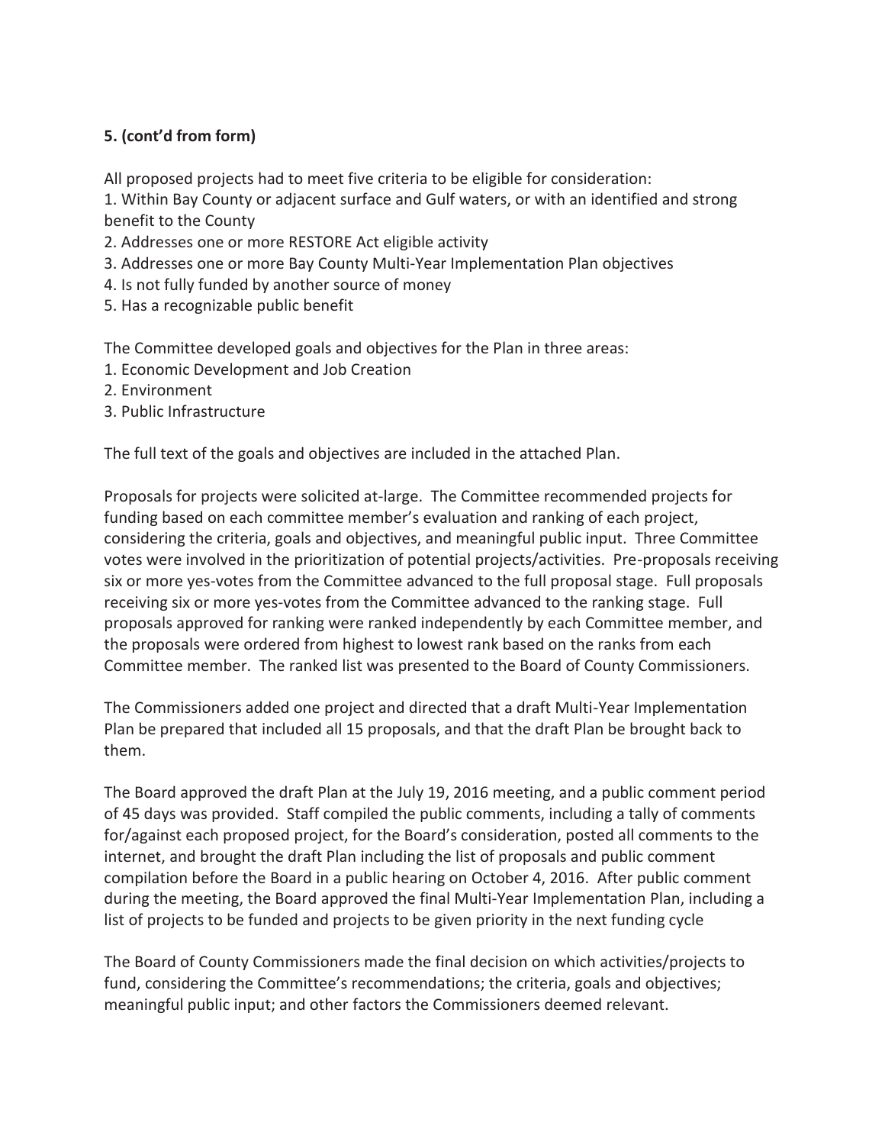All proposed projects had to meet five criteria to be eligible for consideration:

1. Within Bay County or adjacent surface and Gulf waters, or with an identified and strong benefit to the County

- 2. Addresses one or more RESTORE Act eligible activity
- 3. Addresses one or more Bay County Multi-Year Implementation Plan objectives
- 4. Is not fully funded by another source of money
- 5. Has a recognizable public benefit

The Committee developed goals and objectives for the Plan in three areas:

- 1. Economic Development and Job Creation
- 2. Environment
- 3. Public Infrastructure

The full text of the goals and objectives are included in the attached Plan.

Proposals for projects were solicited at-large. The Committee recommended projects for funding based on each committee member's evaluation and ranking of each project, considering the criteria, goals and objectives, and meaningful public input. Three Committee votes were involved in the prioritization of potential projects/activities. Pre-proposals receiving six or more yes-votes from the Committee advanced to the full proposal stage. Full proposals receiving six or more yes-votes from the Committee advanced to the ranking stage. Full proposals approved for ranking were ranked independently by each Committee member, and the proposals were ordered from highest to lowest rank based on the ranks from each Committee member. The ranked list was presented to the Board of County Commissioners.

The Commissioners added one project and directed that a draft Multi-Year Implementation Plan be prepared that included all 15 proposals, and that the draft Plan be brought back to them.

The Board approved the draft Plan at the July 19, 2016 meeting, and a public comment period of 45 days was provided. Staff compiled the public comments, including a tally of comments for/against each proposed project, for the Board's consideration, posted all comments to the internet, and brought the draft Plan including the list of proposals and public comment compilation before the Board in a public hearing on October 4, 2016. After public comment during the meeting, the Board approved the final Multi-Year Implementation Plan, including a list of projects to be funded and projects to be given priority in the next funding cycle

The Board of County Commissioners made the final decision on which activities/projects to fund, considering the Committee's recommendations; the criteria, goals and objectives; meaningful public input; and other factors the Commissioners deemed relevant.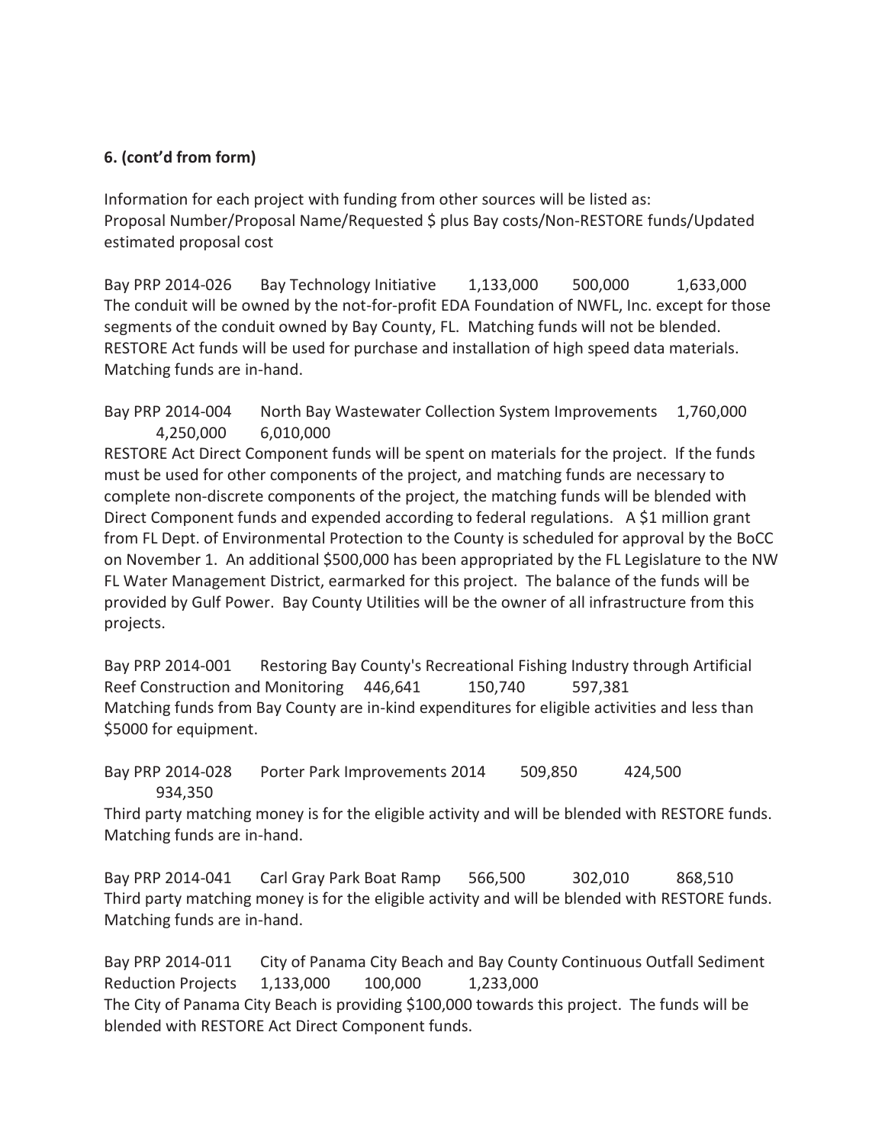Information for each project with funding from other sources will be listed as: Proposal Number/Proposal Name/Requested \$ plus Bay costs/Non-RESTORE funds/Updated estimated proposal cost

Bay PRP 2014-026 Bay Technology Initiative 1,133,000 500,000 1,633,000 The conduit will be owned by the not-for-profit EDA Foundation of NWFL, Inc. except for those segments of the conduit owned by Bay County, FL. Matching funds will not be blended. RESTORE Act funds will be used for purchase and installation of high speed data materials. Matching funds are in-hand.

Bay PRP 2014-004 North Bay Wastewater Collection System Improvements 1,760,000 4,250,000 6,010,000 RESTORE Act Direct Component funds will be spent on materials for the project. If the funds must be used for other components of the project, and matching funds are necessary to complete non-discrete components of the project, the matching funds will be blended with Direct Component funds and expended according to federal regulations. A \$1 million grant from FL Dept. of Environmental Protection to the County is scheduled for approval by the BoCC on November 1. An additional \$500,000 has been appropriated by the FL Legislature to the NW FL Water Management District, earmarked for this project. The balance of the funds will be provided by Gulf Power. Bay County Utilities will be the owner of all infrastructure from this projects.

Bay PRP 2014-001 Restoring Bay County's Recreational Fishing Industry through Artificial Reef Construction and Monitoring 446,641 150,740 597,381 Matching funds from Bay County are in-kind expenditures for eligible activities and less than \$5000 for equipment.

Bay PRP 2014-028 Porter Park Improvements 2014 509,850 424,500 934,350

Third party matching money is for the eligible activity and will be blended with RESTORE funds. Matching funds are in-hand.

Bay PRP 2014-041 Carl Gray Park Boat Ramp 566,500 302,010 868,510 Third party matching money is for the eligible activity and will be blended with RESTORE funds. Matching funds are in-hand.

Bay PRP 2014-011 City of Panama City Beach and Bay County Continuous Outfall Sediment Reduction Projects 1,133,000 100,000 1,233,000 The City of Panama City Beach is providing \$100,000 towards this project. The funds will be blended with RESTORE Act Direct Component funds.